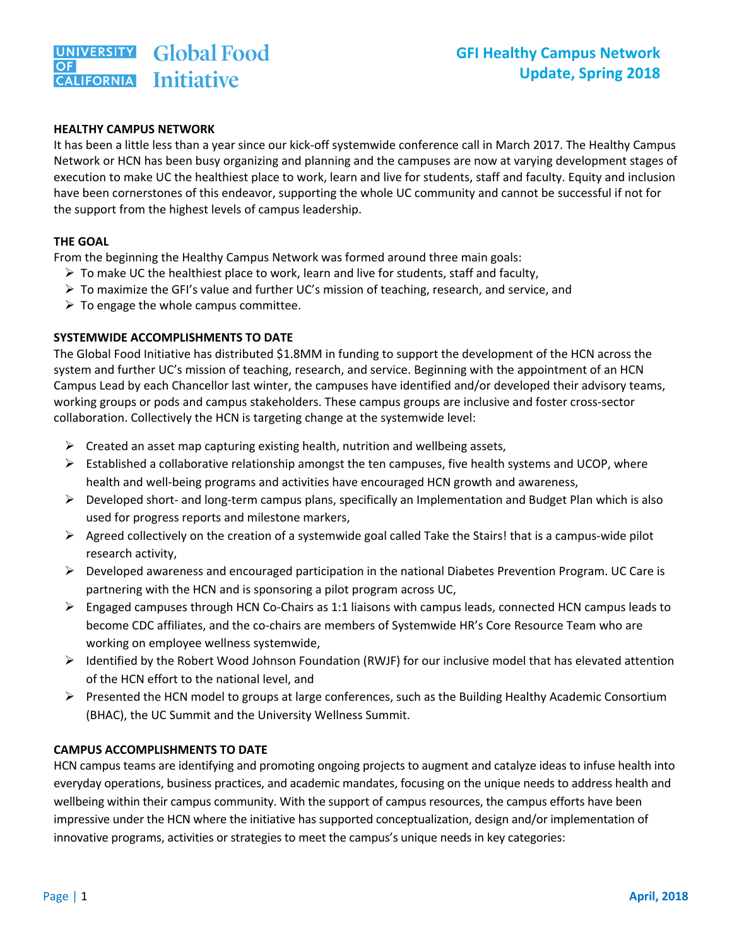#### **HEALTHY CAMPUS NETWORK**

It has been a little less than a year since our kick-off systemwide conference call in March 2017. The Healthy Campus Network or HCN has been busy organizing and planning and the campuses are now at varying development stages of execution to make UC the healthiest place to work, learn and live for students, staff and faculty. Equity and inclusion have been cornerstones of this endeavor, supporting the whole UC community and cannot be successful if not for the support from the highest levels of campus leadership.

#### **THE GOAL**

From the beginning the Healthy Campus Network was formed around three main goals:

- $\triangleright$  To make UC the healthiest place to work, learn and live for students, staff and faculty,
- $\triangleright$  To maximize the GFI's value and further UC's mission of teaching, research, and service, and
- $\triangleright$  To engage the whole campus committee.

## **SYSTEMWIDE ACCOMPLISHMENTS TO DATE**

The Global Food Initiative has distributed \$1.8MM in funding to support the development of the HCN across the system and further UC's mission of teaching, research, and service. Beginning with the appointment of an HCN Campus Lead by each Chancellor last winter, the campuses have identified and/or developed their advisory teams, working groups or pods and campus stakeholders. These campus groups are inclusive and foster cross-sector collaboration. Collectively the HCN is targeting change at the systemwide level:

- $\triangleright$  Created an asset map capturing existing health, nutrition and wellbeing assets,
- $\triangleright$  Established a collaborative relationship amongst the ten campuses, five health systems and UCOP, where health and well-being programs and activities have encouraged HCN growth and awareness,
- $\triangleright$  Developed short- and long-term campus plans, specifically an Implementation and Budget Plan which is also used for progress reports and milestone markers,
- $\triangleright$  Agreed collectively on the creation of a systemwide goal called Take the Stairs! that is a campus-wide pilot research activity,
- $\triangleright$  Developed awareness and encouraged participation in the national Diabetes Prevention Program. UC Care is partnering with the HCN and is sponsoring a pilot program across UC,
- $\triangleright$  Engaged campuses through HCN Co-Chairs as 1:1 liaisons with campus leads, connected HCN campus leads to become CDC affiliates, and the co-chairs are members of Systemwide HR's Core Resource Team who are working on employee wellness systemwide,
- $\triangleright$  Identified by the Robert Wood Johnson Foundation (RWJF) for our inclusive model that has elevated attention of the HCN effort to the national level, and
- $\triangleright$  Presented the HCN model to groups at large conferences, such as the Building Healthy Academic Consortium (BHAC), the UC Summit and the University Wellness Summit.

## **CAMPUS ACCOMPLISHMENTS TO DATE**

HCN campus teams are identifying and promoting ongoing projects to augment and catalyze ideas to infuse health into everyday operations, business practices, and academic mandates, focusing on the unique needs to address health and wellbeing within their campus community. With the support of campus resources, the campus efforts have been impressive under the HCN where the initiative has supported conceptualization, design and/or implementation of innovative programs, activities or strategies to meet the campus's unique needs in key categories: